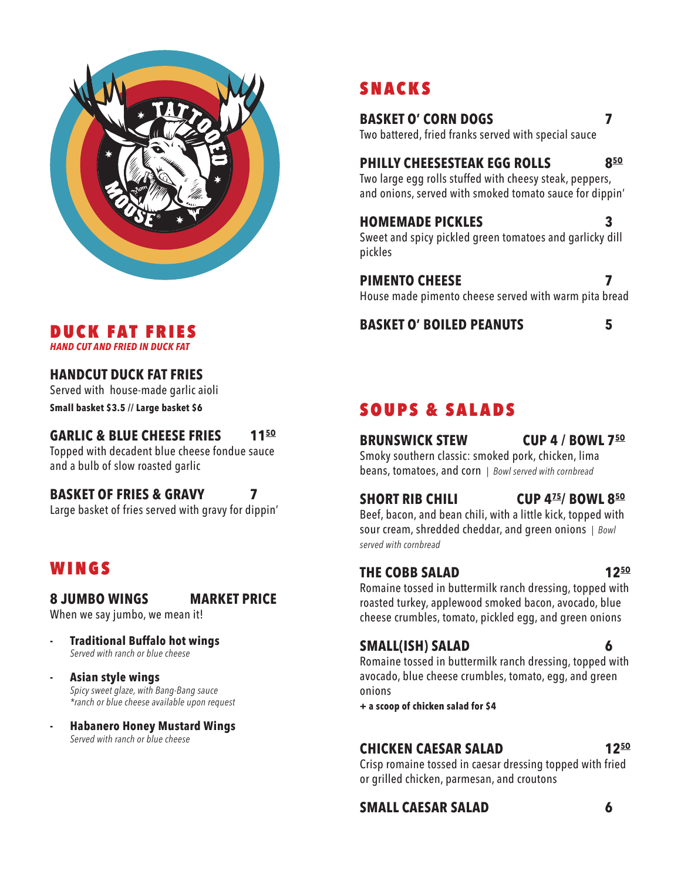

## SNACKS

**BASKET O' CORN DOGS 7** Two battered, fried franks served with special sauce

**PHILLY CHEESESTEAK EGG ROLLS 85O** Two large egg rolls stuffed with cheesy steak, peppers, and onions, served with smoked tomato sauce for dippin'

**HOMEMADE PICKLES 3** Sweet and spicy pickled green tomatoes and garlicky dill pickles

**PIMENTO CHEESE 7** House made pimento cheese served with warm pita bread

**BASKET O' BOILED PEANUTS 5**

## SOUPS & SALADS

## **BRUNSWICK STEW CUP 4 / BOWL 75O**

Smoky southern classic: smoked pork, chicken, lima beans, tomatoes, and corn *| Bowl served with cornbread*

**SHORT RIB CHILI CUP 475/ BOWL 85O**

Beef, bacon, and bean chili, with a little kick, topped with sour cream, shredded cheddar, and green onions *| Bowl served with cornbread*

### **THE COBB SALAD 125O**

Romaine tossed in buttermilk ranch dressing, topped with roasted turkey, applewood smoked bacon, avocado, blue cheese crumbles, tomato, pickled egg, and green onions

## **SMALL(ISH) SALAD 6**

Romaine tossed in buttermilk ranch dressing, topped with avocado, blue cheese crumbles, tomato, egg, and green onions

**+ a scoop of chicken salad for \$4**

## **CHICKEN CAESAR SALAD 125O**

Crisp romaine tossed in caesar dressing topped with fried or grilled chicken, parmesan, and croutons

### **SMALL CAESAR SALAD 6**

#### DUCK FAT FRIES *HAND CUT AND FRIED IN DUCK FAT*

## **HANDCUT DUCK FAT FRIES**

Served with house-made garlic aioli **Small basket \$3.5 // Large basket \$6**

### **GARLIC & BLUE CHEESE FRIES 115O**

Topped with decadent blue cheese fondue sauce and a bulb of slow roasted garlic

## **BASKET OF FRIES & GRAVY 7**

Large basket of fries served with gravy for dippin'

## WINGS

## **8 JUMBO WINGS MARKET PRICE**

When we say jumbo, we mean it!

- **- Traditional Buffalo hot wings** *Served with ranch or blue cheese*
- **- Asian style wings** *Spicy sweet glaze, with Bang-Bang sauce \*ranch or blue cheese available upon request*
- **- Habanero Honey Mustard Wings** *Served with ranch or blue cheese*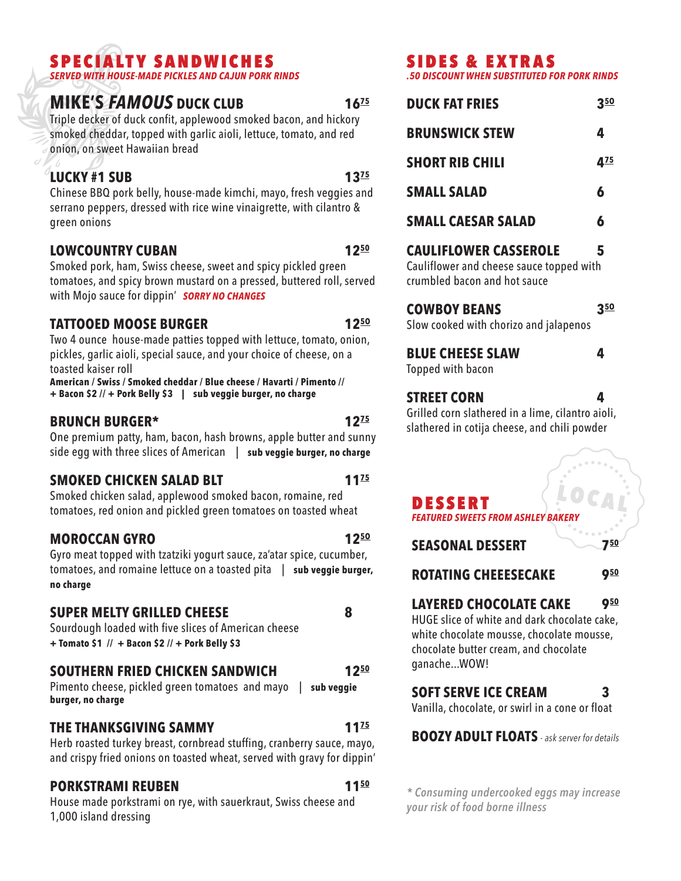## SPECIALTY SANDWICHES

*SERVED WITH HOUSE-MADE PICKLES AND CAJUN PORK RINDS*

## **MIKE'S FAMOUS** DUCK CLUB **16<sup>75</sup>**

Triple decker of duck confit, applewood smoked bacon, and hickory smoked cheddar, topped with garlic aioli, lettuce, tomato, and red onion, on sweet Hawaiian bread

## **LUCKY #1 SUB 13<sup>75</sup>**

Chinese BBQ pork belly, house-made kimchi, mayo, fresh veggies and serrano peppers, dressed with rice wine vinaigrette, with cilantro & green onions

### **LOWCOUNTRY CUBAN 1250**

Smoked pork, ham, Swiss cheese, sweet and spicy pickled green tomatoes, and spicy brown mustard on a pressed, buttered roll, served with Mojo sauce for dippin' *SORRY NO CHANGES*

### **TATTOOED MOOSE BURGER 125O**

Two 4 ounce house-made patties topped with lettuce, tomato, onion, pickles, garlic aioli, special sauce, and your choice of cheese, on a toasted kaiser roll

**American / Swiss / Smoked cheddar / Blue cheese / Havarti / Pimento // + Bacon \$2 // + Pork Belly \$3 | sub veggie burger, no charge**

### **BRUNCH BURGER\* 1275**

One premium patty, ham, bacon, hash browns, apple butter and sunny side egg with three slices of American | **sub veggie burger, no charge**

### **SMOKED CHICKEN SALAD BLT 1175**

Smoked chicken salad, applewood smoked bacon, romaine, red tomatoes, red onion and pickled green tomatoes on toasted wheat

### **MOROCCAN GYRO 125O**

Gyro meat topped with tzatziki yogurt sauce, za'atar spice, cucumber, tomatoes, and romaine lettuce on a toasted pita | **sub veggie burger, no charge**

### **SUPER MELTY GRILLED CHEESE 8**

Sourdough loaded with five slices of American cheese **+ Tomato \$1 // + Bacon \$2 // + Pork Belly \$3**

### **SOUTHERN FRIED CHICKEN SANDWICH 1250**

Pimento cheese, pickled green tomatoes and mayo | **sub veggie burger, no charge**

### **THE THANKSGIVING SAMMY 1175**

Herb roasted turkey breast, cornbread stuffing, cranberry sauce, mayo, and crispy fried onions on toasted wheat, served with gravy for dippin'

### **PORKSTRAMI REUBEN 1150**

House made porkstrami on rye, with sauerkraut, Swiss cheese and 1,000 island dressing

## SIDES & EXTRAS

*.50 DISCOUNT WHEN SUBSTITUTED FOR PORK RINDS*

| <b>DUCK FAT FRIES</b>                                                                                                   | <u>350</u>                  |
|-------------------------------------------------------------------------------------------------------------------------|-----------------------------|
| <b>BRUNSWICK STEW</b>                                                                                                   | 4                           |
| <b>SHORT RIB CHILI</b>                                                                                                  | 4 <sup>75</sup>             |
| <b>SMALL SALAD</b>                                                                                                      | 6                           |
| <b>SMALL CAESAR SALAD</b>                                                                                               | 6                           |
| <b>CAULIFLOWER CASSEROLE</b><br>Cauliflower and cheese sauce topped with<br>crumbled bacon and hot sauce                | 5                           |
| <b>COWBOY BEANS</b><br>Slow cooked with chorizo and jalapenos                                                           | <u>350</u>                  |
| <b>BLUE CHEESE SLAW</b><br>Topped with bacon                                                                            | 4                           |
| <b>STREET CORN</b><br>Grilled corn slathered in a lime, cilantro aioli,<br>slathered in cotija cheese, and chili powder | 4<br>an <sup>a a ma</sup> n |

#### LOCAL DESSERT *FEATURED SWEETS FROM ASHLEY BAKERY*

**SEASONAL DESSERT 750**

**ROTATING CHEEESECAKE 950**

## **LAYERED CHOCOLATE CAKE 950**

HUGE slice of white and dark chocolate cake, white chocolate mousse, chocolate mousse, chocolate butter cream, and chocolate ganache...WOW!

## **SOFT SERVE ICE CREAM 3**

Vanilla, chocolate, or swirl in a cone or float

**BOOZY ADULT FLOATS** *- ask server for details*

*\* Consuming undercooked eggs may increase your risk of food borne illness*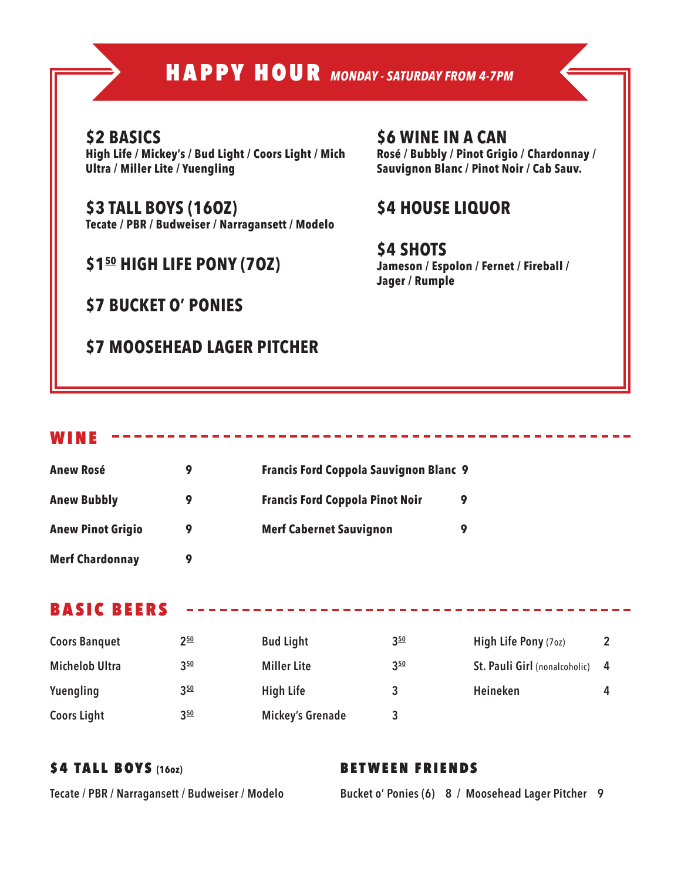## HAPPY HOUR *MONDAY - SATURDAY FROM 4-7PM*

## **\$2 BASICS**

**High Life / Mickey's / Bud Light / Coors Light / Mich Ultra / Miller Lite / Yuengling** 

**\$3 TALL BOYS (16OZ) Tecate / PBR / Budweiser / Narragansett / Modelo**

## **\$150 HIGH LIFE PONY (7OZ)**

**\$7 BUCKET O' PONIES**

## **\$7 MOOSEHEAD LAGER PITCHER**

### **\$6 WINE IN A CAN Rosé / Bubbly / Pinot Grigio / Chardonnay / Sauvignon Blanc / Pinot Noir / Cab Sauv.**

## **\$4 HOUSE LIQUOR**

**\$4 SHOTS Jameson / Espolon / Fernet / Fireball / Jager / Rumple**

#### WINE

| <b>Anew Rosé</b>         | 9 | <b>Francis Ford Coppola Sauvignon Blanc 9</b> |
|--------------------------|---|-----------------------------------------------|
| <b>Anew Bubbly</b>       | 9 | <b>Francis Ford Coppola Pinot Noir</b><br>9   |
| <b>Anew Pinot Grigio</b> | 9 | <b>Merf Cabernet Sauvignon</b><br>9           |
| <b>Merf Chardonnay</b>   |   |                                               |

### BASIC BEERS

| <b>Coors Banquet</b>  | $2^{50}$ | <b>Bud Light</b>        | $3^{50}$ | High Life Pony (70z)          |   |
|-----------------------|----------|-------------------------|----------|-------------------------------|---|
| <b>Michelob Ultra</b> | $3^{50}$ | <b>Miller Lite</b>      | $3^{50}$ | St. Pauli Girl (nonalcoholic) | 4 |
| Yuengling             | $3^{50}$ | <b>High Life</b>        |          | Heineken                      | 4 |
| <b>Coors Light</b>    | $3^{50}$ | <b>Mickey's Grenade</b> |          |                               |   |

### \$4 TALL BOYS **(16oz)**

#### BETWEEN FRIENDS

**Tecate / PBR / Narragansett / Budweiser / Modelo** 

**Bucket o' Ponies (6) 8 / Moosehead Lager Pitcher 9**

the contract and contract the contract of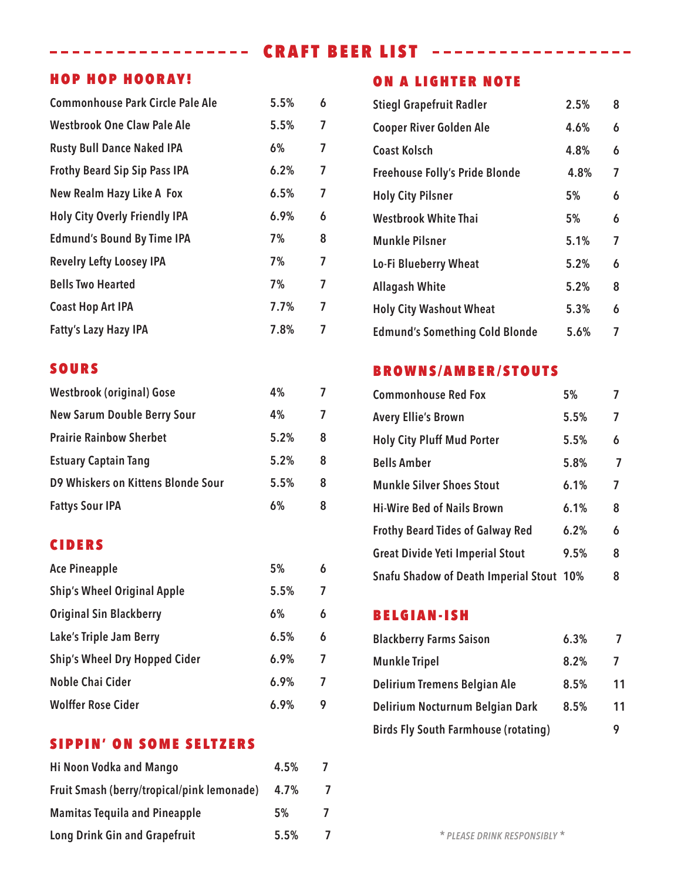## ---------------- CRAFT BEER LIST ------------------

### HOP HOP HOORAY!

| <b>Commonhouse Park Circle Pale Ale</b> | 5.5% | 6              |
|-----------------------------------------|------|----------------|
| <b>Westbrook One Claw Pale Ale</b>      | 5.5% | 7              |
| <b>Rusty Bull Dance Naked IPA</b>       | 6%   | 7              |
| <b>Frothy Beard Sip Sip Pass IPA</b>    | 6.2% | 7              |
| New Realm Hazy Like A Fox               | 6.5% | $\overline{7}$ |
| <b>Holy City Overly Friendly IPA</b>    | 6.9% | 6              |
| <b>Edmund's Bound By Time IPA</b>       | 7%   | 8              |
| <b>Revelry Lefty Loosey IPA</b>         | 7%   | 7              |
| <b>Bells Two Hearted</b>                | 7%   | 7              |
| <b>Coast Hop Art IPA</b>                | 7.7% | 7              |
| <b>Fatty's Lazy Hazy IPA</b>            | 7.8% | 7              |

### SOURS

| <b>Westbrook (original) Gose</b>   | 4%   |   |
|------------------------------------|------|---|
| <b>New Sarum Double Berry Sour</b> | 4%   | 7 |
| <b>Prairie Rainbow Sherbet</b>     | 5.2% | 8 |
| <b>Estuary Captain Tang</b>        | 5.2% | 8 |
| D9 Whiskers on Kittens Blonde Sour | 5.5% | 8 |
| <b>Fattys Sour IPA</b>             | 6%   | 8 |

### CIDERS

| <b>Ace Pineapple</b>                 | 5%   | 6 |
|--------------------------------------|------|---|
| <b>Ship's Wheel Original Apple</b>   | 5.5% | 7 |
| <b>Original Sin Blackberry</b>       | 6%   | 6 |
| Lake's Triple Jam Berry              | 6.5% | 6 |
| <b>Ship's Wheel Dry Hopped Cider</b> | 6.9% | 7 |
| Noble Chai Cider                     | 6.9% | 7 |
| <b>Wolffer Rose Cider</b>            | 6.9% | 9 |

### SIPPIN' ON SOME SELTZERS

| Hi Noon Vodka and Mango                    | 4.5% |   |
|--------------------------------------------|------|---|
| Fruit Smash (berry/tropical/pink lemonade) | 4.7% | 7 |
| <b>Mamitas Tequila and Pineapple</b>       | 5%   |   |
| <b>Long Drink Gin and Grapefruit</b>       | 5.5% | 7 |

### ON A LIGHTER NOTE

| <b>Stiegl Grapefruit Radler</b>       | 2.5% | 8 |
|---------------------------------------|------|---|
| <b>Cooper River Golden Ale</b>        | 4.6% | 6 |
| Coast Kolsch                          | 4.8% | 6 |
| <b>Freehouse Folly's Pride Blonde</b> | 4.8% | 7 |
| <b>Holy City Pilsner</b>              | 5%   | 6 |
| <b>Westbrook White Thai</b>           | 5%   | 6 |
| <b>Munkle Pilsner</b>                 | 5.1% | 7 |
| Lo-Fi Blueberry Wheat                 | 5.2% | 6 |
| <b>Allagash White</b>                 | 5.2% | 8 |
| <b>Holy City Washout Wheat</b>        | 5.3% | 6 |
| <b>Edmund's Something Cold Blonde</b> | 5.6% | 7 |

### BROWNS/AMBER/STOUTS

| <b>Commonhouse Red Fox</b>                      | 5%   |   |
|-------------------------------------------------|------|---|
| <b>Avery Ellie's Brown</b>                      | 5.5% | 7 |
| <b>Holy City Pluff Mud Porter</b>               | 5.5% | 6 |
| <b>Bells Amber</b>                              | 5.8% | 7 |
| <b>Munkle Silver Shoes Stout</b>                | 6.1% | 7 |
| <b>Hi-Wire Bed of Nails Brown</b>               | 6.1% | 8 |
| <b>Frothy Beard Tides of Galway Red</b>         | 6.2% | 6 |
| <b>Great Divide Yeti Imperial Stout</b>         | 9.5% | 8 |
| <b>Snafu Shadow of Death Imperial Stout 10%</b> |      | 8 |

### BELGIAN-ISH

| <b>Blackberry Farms Saison</b>              | 6.3% |    |
|---------------------------------------------|------|----|
| <b>Munkle Tripel</b>                        | 8.2% | 7  |
| Delirium Tremens Belgian Ale                | 8.5% | 11 |
| Delirium Nocturnum Belgian Dark             | 8.5% | 11 |
| <b>Birds Fly South Farmhouse (rotating)</b> |      |    |